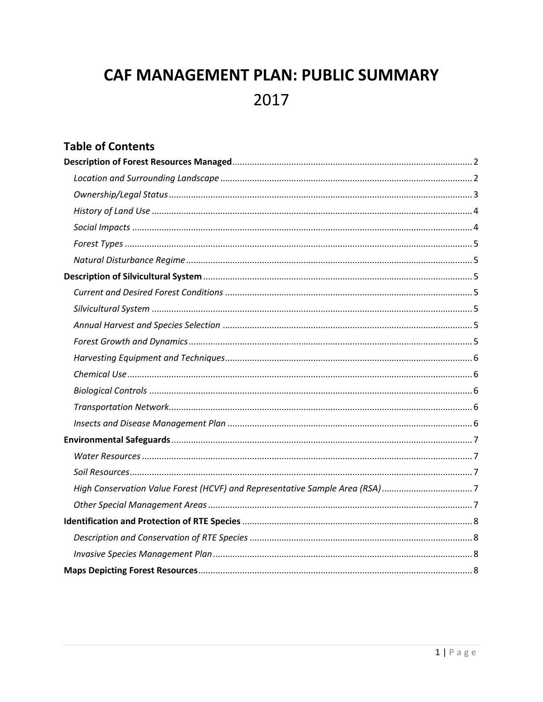# CAF MANAGEMENT PLAN: PUBLIC SUMMARY 2017

# **Table of Contents**

| High Conservation Value Forest (HCVF) and Representative Sample Area (RSA)7 |
|-----------------------------------------------------------------------------|
|                                                                             |
|                                                                             |
|                                                                             |
|                                                                             |
|                                                                             |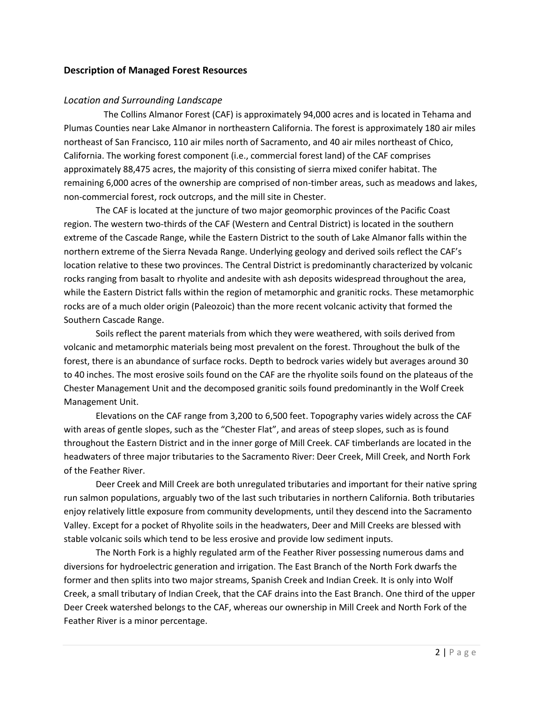#### <span id="page-1-0"></span>**Description of Managed Forest Resources**

#### <span id="page-1-1"></span>*Location and Surrounding Landscape*

The Collins Almanor Forest (CAF) is approximately 94,000 acres and is located in Tehama and Plumas Counties near Lake Almanor in northeastern California. The forest is approximately 180 air miles northeast of San Francisco, 110 air miles north of Sacramento, and 40 air miles northeast of Chico, California. The working forest component (i.e., commercial forest land) of the CAF comprises approximately 88,475 acres, the majority of this consisting of sierra mixed conifer habitat. The remaining 6,000 acres of the ownership are comprised of non-timber areas, such as meadows and lakes, non-commercial forest, rock outcrops, and the mill site in Chester.

The CAF is located at the juncture of two major geomorphic provinces of the Pacific Coast region. The western two-thirds of the CAF (Western and Central District) is located in the southern extreme of the Cascade Range, while the Eastern District to the south of Lake Almanor falls within the northern extreme of the Sierra Nevada Range. Underlying geology and derived soils reflect the CAF's location relative to these two provinces. The Central District is predominantly characterized by volcanic rocks ranging from basalt to rhyolite and andesite with ash deposits widespread throughout the area, while the Eastern District falls within the region of metamorphic and granitic rocks. These metamorphic rocks are of a much older origin (Paleozoic) than the more recent volcanic activity that formed the Southern Cascade Range.

Soils reflect the parent materials from which they were weathered, with soils derived from volcanic and metamorphic materials being most prevalent on the forest. Throughout the bulk of the forest, there is an abundance of surface rocks. Depth to bedrock varies widely but averages around 30 to 40 inches. The most erosive soils found on the CAF are the rhyolite soils found on the plateaus of the Chester Management Unit and the decomposed granitic soils found predominantly in the Wolf Creek Management Unit.

Elevations on the CAF range from 3,200 to 6,500 feet. Topography varies widely across the CAF with areas of gentle slopes, such as the "Chester Flat", and areas of steep slopes, such as is found throughout the Eastern District and in the inner gorge of Mill Creek. CAF timberlands are located in the headwaters of three major tributaries to the Sacramento River: Deer Creek, Mill Creek, and North Fork of the Feather River.

Deer Creek and Mill Creek are both unregulated tributaries and important for their native spring run salmon populations, arguably two of the last such tributaries in northern California. Both tributaries enjoy relatively little exposure from community developments, until they descend into the Sacramento Valley. Except for a pocket of Rhyolite soils in the headwaters, Deer and Mill Creeks are blessed with stable volcanic soils which tend to be less erosive and provide low sediment inputs.

The North Fork is a highly regulated arm of the Feather River possessing numerous dams and diversions for hydroelectric generation and irrigation. The East Branch of the North Fork dwarfs the former and then splits into two major streams, Spanish Creek and Indian Creek. It is only into Wolf Creek, a small tributary of Indian Creek, that the CAF drains into the East Branch. One third of the upper Deer Creek watershed belongs to the CAF, whereas our ownership in Mill Creek and North Fork of the Feather River is a minor percentage.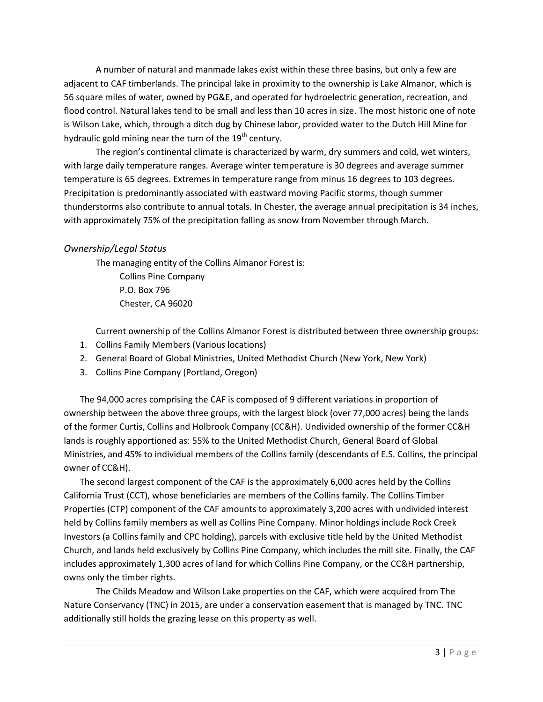A number of natural and manmade lakes exist within these three basins, but only a few are adjacent to CAF timberlands. The principal lake in proximity to the ownership is Lake Almanor, which is 56 square miles of water, owned by PG&E, and operated for hydroelectric generation, recreation, and flood control. Natural lakes tend to be small and less than 10 acres in size. The most historic one of note is Wilson Lake, which, through a ditch dug by Chinese labor, provided water to the Dutch Hill Mine for hydraulic gold mining near the turn of the  $19<sup>th</sup>$  century.

The region's continental climate is characterized by warm, dry summers and cold, wet winters, with large daily temperature ranges. Average winter temperature is 30 degrees and average summer temperature is 65 degrees. Extremes in temperature range from minus 16 degrees to 103 degrees. Precipitation is predominantly associated with eastward moving Pacific storms, though summer thunderstorms also contribute to annual totals. In Chester, the average annual precipitation is 34 inches, with approximately 75% of the precipitation falling as snow from November through March.

#### <span id="page-2-0"></span>*Ownership/Legal Status*

The managing entity of the Collins Almanor Forest is: Collins Pine Company P.O. Box 796 Chester, CA 96020

Current ownership of the Collins Almanor Forest is distributed between three ownership groups:

- 1. Collins Family Members (Various locations)
- 2. General Board of Global Ministries, United Methodist Church (New York, New York)
- 3. Collins Pine Company (Portland, Oregon)

The 94,000 acres comprising the CAF is composed of 9 different variations in proportion of ownership between the above three groups, with the largest block (over 77,000 acres) being the lands of the former Curtis, Collins and Holbrook Company (CC&H). Undivided ownership of the former CC&H lands is roughly apportioned as: 55% to the United Methodist Church, General Board of Global Ministries, and 45% to individual members of the Collins family (descendants of E.S. Collins, the principal owner of CC&H).

The second largest component of the CAF is the approximately 6,000 acres held by the Collins California Trust (CCT), whose beneficiaries are members of the Collins family. The Collins Timber Properties (CTP) component of the CAF amounts to approximately 3,200 acres with undivided interest held by Collins family members as well as Collins Pine Company. Minor holdings include Rock Creek Investors (a Collins family and CPC holding), parcels with exclusive title held by the United Methodist Church, and lands held exclusively by Collins Pine Company, which includes the mill site. Finally, the CAF includes approximately 1,300 acres of land for which Collins Pine Company, or the CC&H partnership, owns only the timber rights.

The Childs Meadow and Wilson Lake properties on the CAF, which were acquired from The Nature Conservancy (TNC) in 2015, are under a conservation easement that is managed by TNC. TNC additionally still holds the grazing lease on this property as well.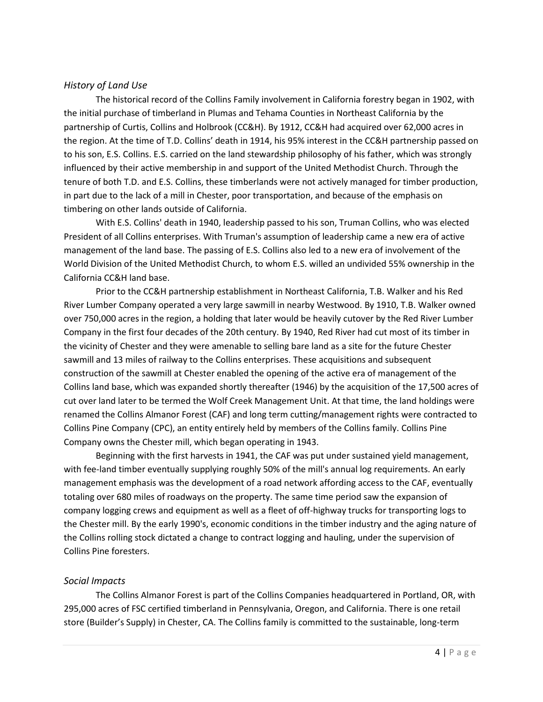# <span id="page-3-0"></span>*History of Land Use*

The historical record of the Collins Family involvement in California forestry began in 1902, with the initial purchase of timberland in Plumas and Tehama Counties in Northeast California by the partnership of Curtis, Collins and Holbrook (CC&H). By 1912, CC&H had acquired over 62,000 acres in the region. At the time of T.D. Collins' death in 1914, his 95% interest in the CC&H partnership passed on to his son, E.S. Collins. E.S. carried on the land stewardship philosophy of his father, which was strongly influenced by their active membership in and support of the United Methodist Church. Through the tenure of both T.D. and E.S. Collins, these timberlands were not actively managed for timber production, in part due to the lack of a mill in Chester, poor transportation, and because of the emphasis on timbering on other lands outside of California.

With E.S. Collins' death in 1940, leadership passed to his son, Truman Collins, who was elected President of all Collins enterprises. With Truman's assumption of leadership came a new era of active management of the land base. The passing of E.S. Collins also led to a new era of involvement of the World Division of the United Methodist Church, to whom E.S. willed an undivided 55% ownership in the California CC&H land base.

Prior to the CC&H partnership establishment in Northeast California, T.B. Walker and his Red River Lumber Company operated a very large sawmill in nearby Westwood. By 1910, T.B. Walker owned over 750,000 acres in the region, a holding that later would be heavily cutover by the Red River Lumber Company in the first four decades of the 20th century. By 1940, Red River had cut most of its timber in the vicinity of Chester and they were amenable to selling bare land as a site for the future Chester sawmill and 13 miles of railway to the Collins enterprises. These acquisitions and subsequent construction of the sawmill at Chester enabled the opening of the active era of management of the Collins land base, which was expanded shortly thereafter (1946) by the acquisition of the 17,500 acres of cut over land later to be termed the Wolf Creek Management Unit. At that time, the land holdings were renamed the Collins Almanor Forest (CAF) and long term cutting/management rights were contracted to Collins Pine Company (CPC), an entity entirely held by members of the Collins family. Collins Pine Company owns the Chester mill, which began operating in 1943.

Beginning with the first harvests in 1941, the CAF was put under sustained yield management, with fee-land timber eventually supplying roughly 50% of the mill's annual log requirements. An early management emphasis was the development of a road network affording access to the CAF, eventually totaling over 680 miles of roadways on the property. The same time period saw the expansion of company logging crews and equipment as well as a fleet of off-highway trucks for transporting logs to the Chester mill. By the early 1990's, economic conditions in the timber industry and the aging nature of the Collins rolling stock dictated a change to contract logging and hauling, under the supervision of Collins Pine foresters.

#### <span id="page-3-1"></span>*Social Impacts*

The Collins Almanor Forest is part of the Collins Companies headquartered in Portland, OR, with 295,000 acres of FSC certified timberland in Pennsylvania, Oregon, and California. There is one retail store (Builder's Supply) in Chester, CA. The Collins family is committed to the sustainable, long-term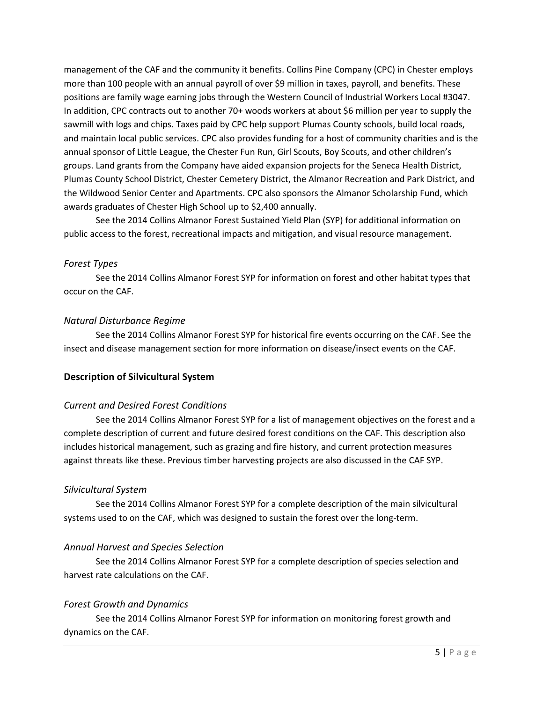management of the CAF and the community it benefits. Collins Pine Company (CPC) in Chester employs more than 100 people with an annual payroll of over \$9 million in taxes, payroll, and benefits. These positions are family wage earning jobs through the Western Council of Industrial Workers Local #3047. In addition, CPC contracts out to another 70+ woods workers at about \$6 million per year to supply the sawmill with logs and chips. Taxes paid by CPC help support Plumas County schools, build local roads, and maintain local public services. CPC also provides funding for a host of community charities and is the annual sponsor of Little League, the Chester Fun Run, Girl Scouts, Boy Scouts, and other children's groups. Land grants from the Company have aided expansion projects for the Seneca Health District, Plumas County School District, Chester Cemetery District, the Almanor Recreation and Park District, and the Wildwood Senior Center and Apartments. CPC also sponsors the Almanor Scholarship Fund, which awards graduates of Chester High School up to \$2,400 annually.

See the 2014 Collins Almanor Forest Sustained Yield Plan (SYP) for additional information on public access to the forest, recreational impacts and mitigation, and visual resource management.

#### <span id="page-4-0"></span>*Forest Types*

See the 2014 Collins Almanor Forest SYP for information on forest and other habitat types that occur on the CAF.

#### <span id="page-4-1"></span>*Natural Disturbance Regime*

See the 2014 Collins Almanor Forest SYP for historical fire events occurring on the CAF. See the insect and disease management section for more information on disease/insect events on the CAF.

#### <span id="page-4-2"></span>**Description of Silvicultural System**

#### <span id="page-4-3"></span>*Current and Desired Forest Conditions*

See the 2014 Collins Almanor Forest SYP for a list of management objectives on the forest and a complete description of current and future desired forest conditions on the CAF. This description also includes historical management, such as grazing and fire history, and current protection measures against threats like these. Previous timber harvesting projects are also discussed in the CAF SYP.

#### <span id="page-4-4"></span>*Silvicultural System*

See the 2014 Collins Almanor Forest SYP for a complete description of the main silvicultural systems used to on the CAF, which was designed to sustain the forest over the long-term.

#### <span id="page-4-5"></span>*Annual Harvest and Species Selection*

See the 2014 Collins Almanor Forest SYP for a complete description of species selection and harvest rate calculations on the CAF.

#### <span id="page-4-6"></span>*Forest Growth and Dynamics*

See the 2014 Collins Almanor Forest SYP for information on monitoring forest growth and dynamics on the CAF.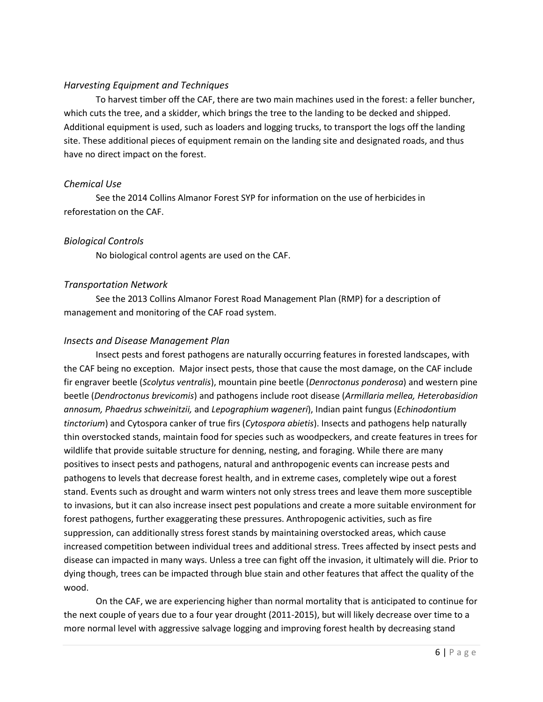#### <span id="page-5-0"></span>*Harvesting Equipment and Techniques*

To harvest timber off the CAF, there are two main machines used in the forest: a feller buncher, which cuts the tree, and a skidder, which brings the tree to the landing to be decked and shipped. Additional equipment is used, such as loaders and logging trucks, to transport the logs off the landing site. These additional pieces of equipment remain on the landing site and designated roads, and thus have no direct impact on the forest.

#### <span id="page-5-1"></span>*Chemical Use*

See the 2014 Collins Almanor Forest SYP for information on the use of herbicides in reforestation on the CAF.

# <span id="page-5-2"></span>*Biological Controls*

No biological control agents are used on the CAF.

# <span id="page-5-3"></span>*Transportation Network*

See the 2013 Collins Almanor Forest Road Management Plan (RMP) for a description of management and monitoring of the CAF road system.

# <span id="page-5-4"></span>*Insects and Disease Management Plan*

Insect pests and forest pathogens are naturally occurring features in forested landscapes, with the CAF being no exception. Major insect pests, those that cause the most damage, on the CAF include fir engraver beetle (*Scolytus ventralis*), mountain pine beetle (*Denroctonus ponderosa*) and western pine beetle (*Dendroctonus brevicomis*) and pathogens include root disease (*Armillaria mellea, Heterobasidion annosum, Phaedrus schweinitzii,* and *Lepographium wageneri*), Indian paint fungus (*Echinodontium tinctorium*) and Cytospora canker of true firs (*Cytospora abietis*). Insects and pathogens help naturally thin overstocked stands, maintain food for species such as woodpeckers, and create features in trees for wildlife that provide suitable structure for denning, nesting, and foraging. While there are many positives to insect pests and pathogens, natural and anthropogenic events can increase pests and pathogens to levels that decrease forest health, and in extreme cases, completely wipe out a forest stand. Events such as drought and warm winters not only stress trees and leave them more susceptible to invasions, but it can also increase insect pest populations and create a more suitable environment for forest pathogens, further exaggerating these pressures. Anthropogenic activities, such as fire suppression, can additionally stress forest stands by maintaining overstocked areas, which cause increased competition between individual trees and additional stress. Trees affected by insect pests and disease can impacted in many ways. Unless a tree can fight off the invasion, it ultimately will die. Prior to dying though, trees can be impacted through blue stain and other features that affect the quality of the wood.

On the CAF, we are experiencing higher than normal mortality that is anticipated to continue for the next couple of years due to a four year drought (2011-2015), but will likely decrease over time to a more normal level with aggressive salvage logging and improving forest health by decreasing stand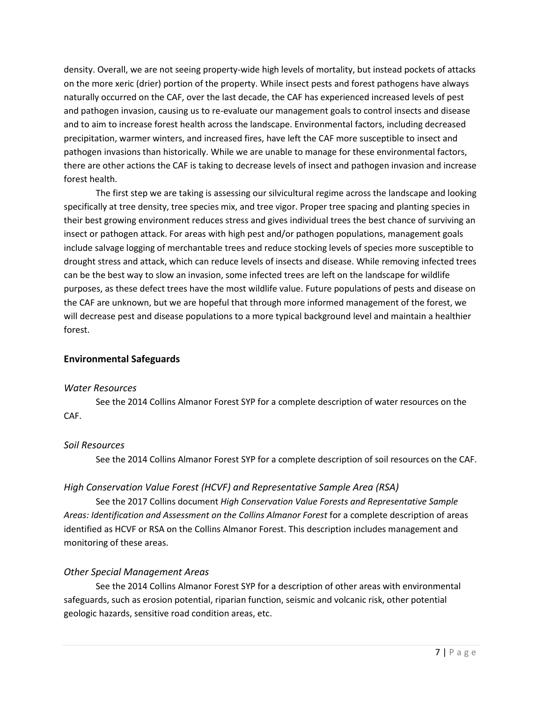density. Overall, we are not seeing property-wide high levels of mortality, but instead pockets of attacks on the more xeric (drier) portion of the property. While insect pests and forest pathogens have always naturally occurred on the CAF, over the last decade, the CAF has experienced increased levels of pest and pathogen invasion, causing us to re-evaluate our management goals to control insects and disease and to aim to increase forest health across the landscape. Environmental factors, including decreased precipitation, warmer winters, and increased fires, have left the CAF more susceptible to insect and pathogen invasions than historically. While we are unable to manage for these environmental factors, there are other actions the CAF is taking to decrease levels of insect and pathogen invasion and increase forest health.

The first step we are taking is assessing our silvicultural regime across the landscape and looking specifically at tree density, tree species mix, and tree vigor. Proper tree spacing and planting species in their best growing environment reduces stress and gives individual trees the best chance of surviving an insect or pathogen attack. For areas with high pest and/or pathogen populations, management goals include salvage logging of merchantable trees and reduce stocking levels of species more susceptible to drought stress and attack, which can reduce levels of insects and disease. While removing infected trees can be the best way to slow an invasion, some infected trees are left on the landscape for wildlife purposes, as these defect trees have the most wildlife value. Future populations of pests and disease on the CAF are unknown, but we are hopeful that through more informed management of the forest, we will decrease pest and disease populations to a more typical background level and maintain a healthier forest.

#### <span id="page-6-0"></span>**Environmental Safeguards**

#### <span id="page-6-1"></span>*Water Resources*

See the 2014 Collins Almanor Forest SYP for a complete description of water resources on the CAF.

#### <span id="page-6-2"></span>*Soil Resources*

See the 2014 Collins Almanor Forest SYP for a complete description of soil resources on the CAF.

# <span id="page-6-3"></span>*High Conservation Value Forest (HCVF) and Representative Sample Area (RSA)*

See the 2017 Collins document *High Conservation Value Forests and Representative Sample Areas: Identification and Assessment on the Collins Almanor Forest* for a complete description of areas identified as HCVF or RSA on the Collins Almanor Forest. This description includes management and monitoring of these areas.

# <span id="page-6-4"></span>*Other Special Management Areas*

See the 2014 Collins Almanor Forest SYP for a description of other areas with environmental safeguards, such as erosion potential, riparian function, seismic and volcanic risk, other potential geologic hazards, sensitive road condition areas, etc.